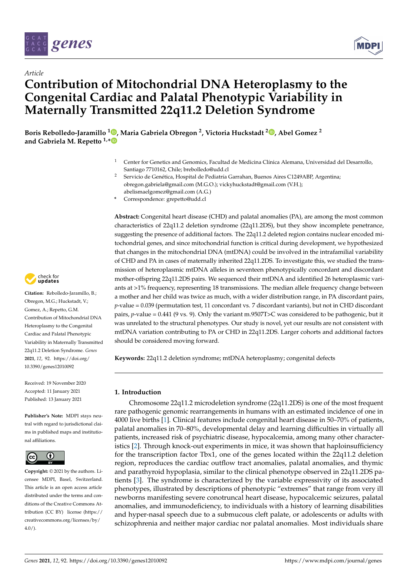

*Article*



# **Contribution of Mitochondrial DNA Heteroplasmy to the Congenital Cardiac and Palatal Phenotypic Variability in Maternally Transmitted 22q11.2 Deletion Syndrome**

**Boris Rebolledo-Jaramillo <sup>1</sup> [,](https://orcid.org/0000-0001-8059-3202) Maria Gabriela Obregon <sup>2</sup> , Victoria Huckstadt <sup>2</sup> [,](https://orcid.org/0000-0001-6411-1955) Abel Gomez <sup>2</sup> and Gabriela M. Repetto 1,[\\*](https://orcid.org/0000-0003-0120-5684)**

- <sup>1</sup> Center for Genetics and Genomics, Facultad de Medicina Clínica Alemana, Universidad del Desarrollo, Santiago 7710162, Chile; brebolledo@udd.cl
- <sup>2</sup> Servicio de Genética, Hospital de Pediatría Garrahan, Buenos Aires C1249ABP, Argentina; obregon.gabriela@gmail.com (M.G.O.); vickyhuckstadt@gmail.com (V.H.); abelismaelgomez@gmail.com (A.G.)
- **\*** Correspondence: grepetto@udd.cl

**Abstract:** Congenital heart disease (CHD) and palatal anomalies (PA), are among the most common characteristics of 22q11.2 deletion syndrome (22q11.2DS), but they show incomplete penetrance, suggesting the presence of additional factors. The 22q11.2 deleted region contains nuclear encoded mitochondrial genes, and since mitochondrial function is critical during development, we hypothesized that changes in the mitochondrial DNA (mtDNA) could be involved in the intrafamilial variability of CHD and PA in cases of maternally inherited 22q11.2DS. To investigate this, we studied the transmission of heteroplasmic mtDNA alleles in seventeen phenotypically concordant and discordant mother-offspring 22q11.2DS pairs. We sequenced their mtDNA and identified 26 heteroplasmic variants at >1% frequency, representing 18 transmissions. The median allele frequency change between a mother and her child was twice as much, with a wider distribution range, in PA discordant pairs, *p*-value = 0.039 (permutation test, 11 concordant vs. 7 discordant variants), but not in CHD discordant pairs, *p*-value = 0.441 (9 vs. 9). Only the variant m.9507T>C was considered to be pathogenic, but it was unrelated to the structural phenotypes. Our study is novel, yet our results are not consistent with mtDNA variation contributing to PA or CHD in 22q11.2DS. Larger cohorts and additional factors should be considered moving forward.

**Keywords:** 22q11.2 deletion syndrome; mtDNA heteroplasmy; congenital defects

# **1. Introduction**

Chromosome 22q11.2 microdeletion syndrome (22q11.2DS) is one of the most frequent rare pathogenic genomic rearrangements in humans with an estimated incidence of one in 4000 live births [\[1\]](#page-8-0). Clinical features include congenital heart disease in 50–70% of patients, palatal anomalies in 70–80%, developmental delay and learning difficulties in virtually all patients, increased risk of psychiatric disease, hypocalcemia, among many other characteristics [\[2\]](#page-8-1). Through knock-out experiments in mice, it was shown that haploinsufficiency for the transcription factor Tbx1, one of the genes located within the 22q11.2 deletion region, reproduces the cardiac outflow tract anomalies, palatal anomalies, and thymic and parathyroid hypoplasia, similar to the clinical phenotype observed in 22q11.2DS patients [\[3\]](#page-8-2). The syndrome is characterized by the variable expressivity of its associated phenotypes, illustrated by descriptions of phenotypic "extremes" that range from very ill newborns manifesting severe conotruncal heart disease, hypocalcemic seizures, palatal anomalies, and immunodeficiency, to individuals with a history of learning disabilities and hyper-nasal speech due to a submucous cleft palate, or adolescents or adults with schizophrenia and neither major cardiac nor palatal anomalies. Most individuals share



**Citation:** Rebolledo-Jaramillo, B.; Obregon, M.G.; Huckstadt, V.; Gomez, A.; Repetto, G.M. Contribution of Mitochondrial DNA Heteroplasmy to the Congenital Cardiac and Palatal Phenotypic Variability in Maternally Transmitted 22q11.2 Deletion Syndrome. *Genes* **2021**, *12*, 92. [https://doi.org/](https://doi.org/10.3390/genes12010092) [10.3390/genes12010092](https://doi.org/10.3390/genes12010092)

Received: 19 November 2020 Accepted: 11 January 2021 Published: 13 January 2021

**Publisher's Note:** MDPI stays neutral with regard to jurisdictional claims in published maps and institutional affiliations.



**Copyright:** © 2021 by the authors. Licensee MDPI, Basel, Switzerland. This article is an open access article distributed under the terms and conditions of the Creative Commons Attribution (CC BY) license [\(https://](https://creativecommons.org/licenses/by/4.0/) [creativecommons.org/licenses/by/](https://creativecommons.org/licenses/by/4.0/) [4.0/\)](https://creativecommons.org/licenses/by/4.0/).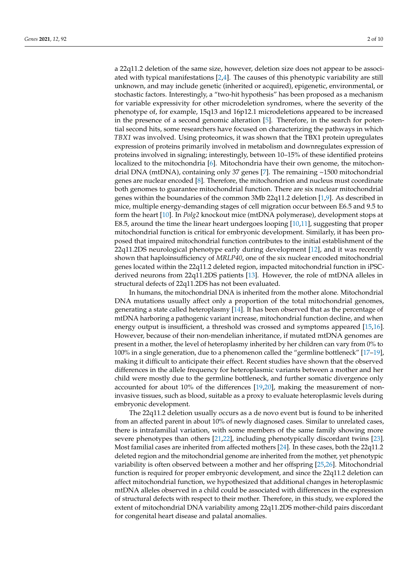a 22q11.2 deletion of the same size, however, deletion size does not appear to be associated with typical manifestations [\[2](#page-8-1)[,4\]](#page-8-3). The causes of this phenotypic variability are still unknown, and may include genetic (inherited or acquired), epigenetic, environmental, or stochastic factors. Interestingly, a "two-hit hypothesis" has been proposed as a mechanism for variable expressivity for other microdeletion syndromes, where the severity of the phenotype of, for example, 15q13 and 16p12.1 microdeletions appeared to be increased in the presence of a second genomic alteration [\[5\]](#page-8-4). Therefore, in the search for potential second hits, some researchers have focused on characterizing the pathways in which *TBX1* was involved. Using proteomics, it was shown that the TBX1 protein upregulates expression of proteins primarily involved in metabolism and downregulates expression of proteins involved in signaling; interestingly, between 10–15% of these identified proteins localized to the mitochondria [\[6\]](#page-8-5). Mitochondria have their own genome, the mitochondrial DNA (mtDNA), containing only 37 genes [\[7\]](#page-8-6). The remaining ~1500 mitochondrial genes are nuclear encoded [\[8\]](#page-8-7). Therefore, the mitochondrion and nucleus must coordinate both genomes to guarantee mitochondrial function. There are six nuclear mitochondrial genes within the boundaries of the common 3Mb 22q11.2 deletion [\[1,](#page-8-0)[9\]](#page-8-8). As described in mice, multiple energy-demanding stages of cell migration occur between E6.5 and 9.5 to form the heart [\[10\]](#page-8-9). In *Polg2* knockout mice (mtDNA polymerase), development stops at E8.5, around the time the linear heart undergoes looping [\[10,](#page-8-9)[11\]](#page-8-10), suggesting that proper mitochondrial function is critical for embryonic development. Similarly, it has been proposed that impaired mitochondrial function contributes to the initial establishment of the 22q11.2DS neurological phenotype early during development [\[12\]](#page-8-11), and it was recently shown that haploinsufficiency of *MRLP40*, one of the six nuclear encoded mitochondrial genes located within the 22q11.2 deleted region, impacted mitochondrial function in iPSCderived neurons from 22q11.2DS patients [\[13\]](#page-8-12). However, the role of mtDNA alleles in structural defects of 22q11.2DS has not been evaluated.

In humans, the mitochondrial DNA is inherited from the mother alone. Mitochondrial DNA mutations usually affect only a proportion of the total mitochondrial genomes, generating a state called heteroplasmy [\[14\]](#page-8-13). It has been observed that as the percentage of mtDNA harboring a pathogenic variant increase, mitochondrial function decline, and when energy output is insufficient, a threshold was crossed and symptoms appeared [\[15,](#page-8-14)[16\]](#page-8-15). However, because of their non-mendelian inheritance, if mutated mtDNA genomes are present in a mother, the level of heteroplasmy inherited by her children can vary from 0% to 100% in a single generation, due to a phenomenon called the "germline bottleneck" [\[17–](#page-8-16)[19\]](#page-8-17), making it difficult to anticipate their effect. Recent studies have shown that the observed differences in the allele frequency for heteroplasmic variants between a mother and her child were mostly due to the germline bottleneck, and further somatic divergence only accounted for about 10% of the differences [\[19](#page-8-17)[,20\]](#page-8-18), making the measurement of noninvasive tissues, such as blood, suitable as a proxy to evaluate heteroplasmic levels during embryonic development.

The 22q11.2 deletion usually occurs as a de novo event but is found to be inherited from an affected parent in about 10% of newly diagnosed cases. Similar to unrelated cases, there is intrafamilial variation, with some members of the same family showing more severe phenotypes than others [\[21,](#page-8-19)[22\]](#page-8-20), including phenotypically discordant twins [\[23\]](#page-8-21). Most familial cases are inherited from affected mothers [\[24\]](#page-9-0). In these cases, both the 22q11.2 deleted region and the mitochondrial genome are inherited from the mother, yet phenotypic variability is often observed between a mother and her offspring [\[25](#page-9-1)[,26\]](#page-9-2). Mitochondrial function is required for proper embryonic development, and since the 22q11.2 deletion can affect mitochondrial function, we hypothesized that additional changes in heteroplasmic mtDNA alleles observed in a child could be associated with differences in the expression of structural defects with respect to their mother. Therefore, in this study, we explored the extent of mitochondrial DNA variability among 22q11.2DS mother-child pairs discordant for congenital heart disease and palatal anomalies.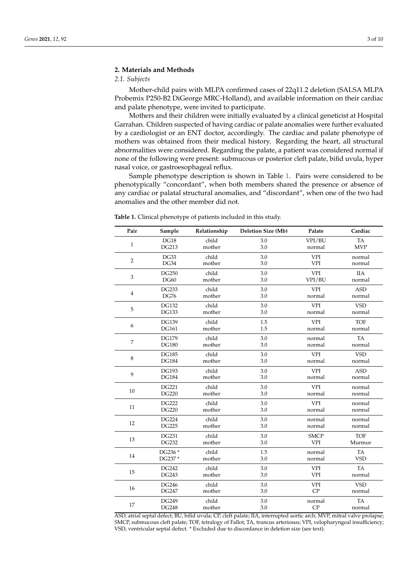#### **2. Materials and Methods**

# *2.1. Subjects*

Mother-child pairs with MLPA confirmed cases of 22q11.2 deletion (SALSA MLPA Probemix P250-B2 DiGeorge MRC-Holland), and available information on their cardiac and palate phenotype, were invited to participate.

Mothers and their children were initially evaluated by a clinical geneticist at Hospital Garrahan. Children suspected of having cardiac or palate anomalies were further evaluated by a cardiologist or an ENT doctor, accordingly. The cardiac and palate phenotype of mothers was obtained from their medical history. Regarding the heart, all structural abnormalities were considered. Regarding the palate, a patient was considered normal if none of the following were present: submucous or posterior cleft palate, bifid uvula, hyper nasal voice, or gastroesophageal reflux.

Sample phenotype description is shown in Table [1.](#page-2-0) Pairs were considered to be phenotypically "concordant", when both members shared the presence or absence of any cardiac or palatal structural anomalies, and "discordant", when one of the two had anomalies and the other member did not.

| Pair             | Sample       | Relationship | <b>Deletion Size (Mb)</b> | Palate      | Cardiac    |
|------------------|--------------|--------------|---------------------------|-------------|------------|
| $\mathbf{1}$     | DG18         | child        | 3.0                       | VPI/BU      | <b>TA</b>  |
|                  | <b>DG213</b> | mother       | 3.0                       | normal      | <b>MVP</b> |
| $\overline{2}$   | DG33         | child        | 3.0                       | <b>VPI</b>  | normal     |
|                  | DG34         | mother       | 3.0                       | <b>VPI</b>  | normal     |
| 3                | <b>DG250</b> | child        | 3.0                       | <b>VPI</b>  | <b>IIA</b> |
|                  | <b>DG60</b>  | mother       | 3.0                       | VPI/BU      | normal     |
| $\overline{4}$   | <b>DG233</b> | child        | 3.0                       | <b>VPI</b>  | <b>ASD</b> |
|                  | <b>DG76</b>  | mother       | 3.0                       | normal      | normal     |
| 5                | <b>DG132</b> | child        | 3.0                       | <b>VPI</b>  | <b>VSD</b> |
|                  | <b>DG133</b> | mother       | 3.0                       | normal      | normal     |
| $\boldsymbol{6}$ | <b>DG139</b> | child        | 1.5                       | <b>VPI</b>  | <b>TOF</b> |
|                  | <b>DG161</b> | mother       | 1.5                       | normal      | normal     |
| 7                | <b>DG179</b> | child        | 3.0                       | normal      | TA         |
|                  | <b>DG180</b> | mother       | 3.0                       | normal      | normal     |
| $\,8\,$          | <b>DG185</b> | child        | 3.0                       | <b>VPI</b>  | <b>VSD</b> |
|                  | <b>DG184</b> | mother       | 3.0                       | normal      | normal     |
| 9                | <b>DG193</b> | child        | 3.0                       | <b>VPI</b>  | <b>ASD</b> |
|                  | <b>DG184</b> | mother       | 3.0                       | normal      | normal     |
| 10               | <b>DG221</b> | child        | 3.0                       | <b>VPI</b>  | normal     |
|                  | <b>DG220</b> | mother       | 3.0                       | normal      | normal     |
| 11               | <b>DG222</b> | child        | 3.0                       | <b>VPI</b>  | normal     |
|                  | <b>DG220</b> | mother       | 3.0                       | normal      | normal     |
| 12               | <b>DG224</b> | child        | 3.0                       | normal      | normal     |
|                  | <b>DG225</b> | mother       | 3.0                       | normal      | normal     |
| 13               | DG231        | child        | 3.0                       | <b>SMCP</b> | <b>TOF</b> |
|                  | <b>DG232</b> | mother       | 3.0                       | <b>VPI</b>  | Murmur     |
| 14               | DG236 *      | child        | 1.5                       | normal      | TA         |
|                  | DG237*       | mother       | 3.0                       | normal      | <b>VSD</b> |
| 15               | <b>DG242</b> | child        | 3.0                       | <b>VPI</b>  | <b>TA</b>  |
|                  | <b>DG243</b> | mother       | 3.0                       | <b>VPI</b>  | normal     |
| 16               | <b>DG246</b> | child        | 3.0                       | <b>VPI</b>  | <b>VSD</b> |
|                  | <b>DG247</b> | mother       | 3.0                       | CP          | normal     |
| 17               | <b>DG249</b> | child        | 3.0                       | normal      | <b>TA</b>  |
|                  | <b>DG248</b> | mother       | 3.0                       | CP          | normal     |

<span id="page-2-0"></span>**Table 1.** Clinical phenotype of patients included in this study.

ASD, atrial septal defect; BU, bifid uvula; CP, cleft palate; IIA, interrupted aortic arch; MVP, mitral valve prolapse; SMCP, submucous cleft palate; TOF, tetralogy of Fallot; TA, truncus arteriosus; VPI, velopharyngeal insufficiency; VSD, ventricular septal defect. \* Excluded due to discordance in deletion size (see text).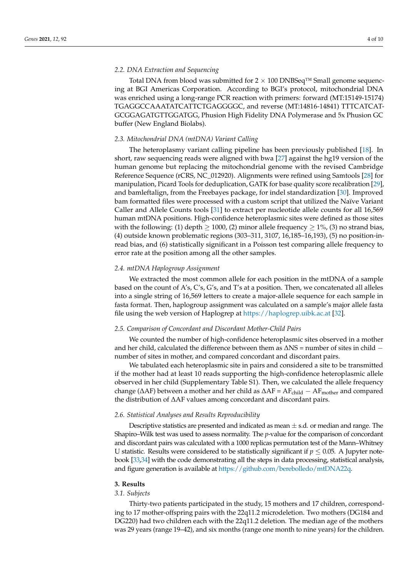#### *2.2. DNA Extraction and Sequencing*

Total DNA from blood was submitted for  $2 \times 100$  DNBSeq<sup>TM</sup> Small genome sequencing at BGI Americas Corporation. According to BGI's protocol, mitochondrial DNA was enriched using a long-range PCR reaction with primers: forward (MT:15149-15174) TGAGGCCAAATATCATTCTGAGGGGC, and reverse (MT:14816-14841) TTTCATCAT-GCGGAGATGTTGGATGG, Phusion High Fidelity DNA Polymerase and 5x Phusion GC buffer (New England Biolabs).

#### *2.3. Mitochondrial DNA (mtDNA) Variant Calling*

The heteroplasmy variant calling pipeline has been previously published [\[18\]](#page-8-22). In short, raw sequencing reads were aligned with bwa [\[27\]](#page-9-3) against the hg19 version of the human genome but replacing the mitochondrial genome with the revised Cambridge Reference Sequence (rCRS, NC\_012920). Alignments were refined using Samtools [\[28\]](#page-9-4) for manipulation, Picard Tools for deduplication, GATK for base quality score recalibration [\[29\]](#page-9-5), and bamleftalign, from the Freebayes package, for indel standardization [\[30\]](#page-9-6). Improved bam formatted files were processed with a custom script that utilized the Naïve Variant Caller and Allele Counts tools [\[31\]](#page-9-7) to extract per nucleotide allele counts for all 16,569 human mtDNA positions. High-confidence heteroplasmic sites were defined as those sites with the following: (1) depth  $\geq 1000$ , (2) minor allele frequency  $\geq 1\%$ , (3) no strand bias, (4) outside known problematic regions (303–311, 3107, 16,185–16,193), (5) no position-inread bias, and (6) statistically significant in a Poisson test comparing allele frequency to error rate at the position among all the other samples.

#### *2.4. mtDNA Haplogroup Assignment*

We extracted the most common allele for each position in the mtDNA of a sample based on the count of A's, C's, G's, and T's at a position. Then, we concatenated all alleles into a single string of 16,569 letters to create a major-allele sequence for each sample in fasta format. Then, haplogroup assignment was calculated on a sample's major allele fasta file using the web version of Haplogrep at <https://haplogrep.uibk.ac.at> [\[32\]](#page-9-8).

#### *2.5. Comparison of Concordant and Discordant Mother-Child Pairs*

We counted the number of high-confidence heteroplasmic sites observed in a mother and her child, calculated the difference between them as ∆NS = number of sites in child − number of sites in mother, and compared concordant and discordant pairs.

We tabulated each heteroplasmic site in pairs and considered a site to be transmitted if the mother had at least 10 reads supporting the high-confidence heteroplasmic allele observed in her child (Supplementary Table S1). Then, we calculated the allele frequency change ( $\Delta$ AF) between a mother and her child as  $\Delta$ AF = AF<sub>child</sub> − AF<sub>mother</sub> and compared the distribution of ∆AF values among concordant and discordant pairs.

#### *2.6. Statistical Analyses and Results Reproducibility*

Descriptive statistics are presented and indicated as mean  $\pm$  s.d. or median and range. The Shapiro–Wilk test was used to assess normality. The *p*-value for the comparison of concordant and discordant pairs was calculated with a 1000 replicas permutation test of the Mann–Whitney U statistic. Results were considered to be statistically significant if  $p \leq 0.05$ . A Jupyter notebook [\[33,](#page-9-9)[34\]](#page-9-10) with the code demonstrating all the steps in data processing, statistical analysis, and figure generation is available at [https://github.com/berebolledo/mtDNA22q.](https://github.com/berebolledo/mtDNA22q)

#### **3. Results**

### *3.1. Subjects*

Thirty-two patients participated in the study, 15 mothers and 17 children, corresponding to 17 mother-offspring pairs with the 22q11.2 microdeletion. Two mothers (DG184 and DG220) had two children each with the 22q11.2 deletion. The median age of the mothers was 29 years (range 19–42), and six months (range one month to nine years) for the children.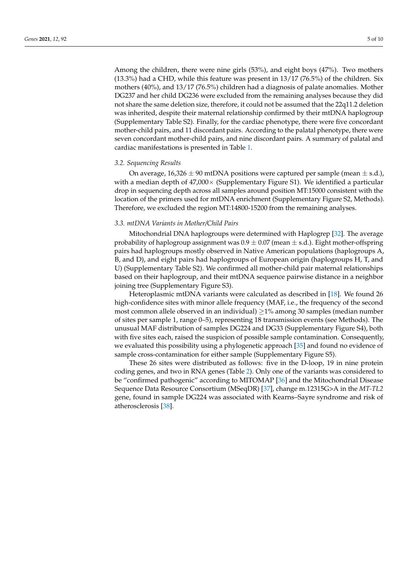Among the children, there were nine girls (53%), and eight boys (47%). Two mothers (13.3%) had a CHD, while this feature was present in 13/17 (76.5%) of the children. Six mothers (40%), and 13/17 (76.5%) children had a diagnosis of palate anomalies. Mother DG237 and her child DG236 were excluded from the remaining analyses because they did not share the same deletion size, therefore, it could not be assumed that the 22q11.2 deletion was inherited, despite their maternal relationship confirmed by their mtDNA haplogroup (Supplementary Table S2). Finally, for the cardiac phenotype, there were five concordant mother-child pairs, and 11 discordant pairs. According to the palatal phenotype, there were seven concordant mother-child pairs, and nine discordant pairs. A summary of palatal and cardiac manifestations is presented in Table [1.](#page-2-0)

#### *3.2. Sequencing Results*

On average,  $16,326 \pm 90$  mtDNA positions were captured per sample (mean  $\pm$  s.d.), with a median depth of  $47,000 \times$  (Supplementary Figure S1). We identified a particular drop in sequencing depth across all samples around position MT:15000 consistent with the location of the primers used for mtDNA enrichment (Supplementary Figure S2, Methods). Therefore, we excluded the region MT:14800-15200 from the remaining analyses.

#### *3.3. mtDNA Variants in Mother/Child Pairs*

Mitochondrial DNA haplogroups were determined with Haplogrep [\[32\]](#page-9-8). The average probability of haplogroup assignment was  $0.9 \pm 0.07$  (mean  $\pm$  s.d.). Eight mother-offspring pairs had haplogroups mostly observed in Native American populations (haplogroups A, B, and D), and eight pairs had haplogroups of European origin (haplogroups H, T, and U) (Supplementary Table S2). We confirmed all mother-child pair maternal relationships based on their haplogroup, and their mtDNA sequence pairwise distance in a neighbor joining tree (Supplementary Figure S3).

Heteroplasmic mtDNA variants were calculated as described in [\[18\]](#page-8-22). We found 26 high-confidence sites with minor allele frequency (MAF, i.e., the frequency of the second most common allele observed in an individual) ≥1% among 30 samples (median number of sites per sample 1, range 0–5), representing 18 transmission events (see Methods). The unusual MAF distribution of samples DG224 and DG33 (Supplementary Figure S4), both with five sites each, raised the suspicion of possible sample contamination. Consequently, we evaluated this possibility using a phylogenetic approach [\[35\]](#page-9-11) and found no evidence of sample cross-contamination for either sample (Supplementary Figure S5).

These 26 sites were distributed as follows: five in the D-loop, 19 in nine protein coding genes, and two in RNA genes (Table [2\)](#page-5-0). Only one of the variants was considered to be "confirmed pathogenic" according to MITOMAP [\[36\]](#page-9-12) and the Mitochondrial Disease Sequence Data Resource Consortium (MSeqDR) [\[37\]](#page-9-13), change m.12315G>A in the *MT-TL2* gene, found in sample DG224 was associated with Kearns–Sayre syndrome and risk of atherosclerosis [\[38\]](#page-9-14).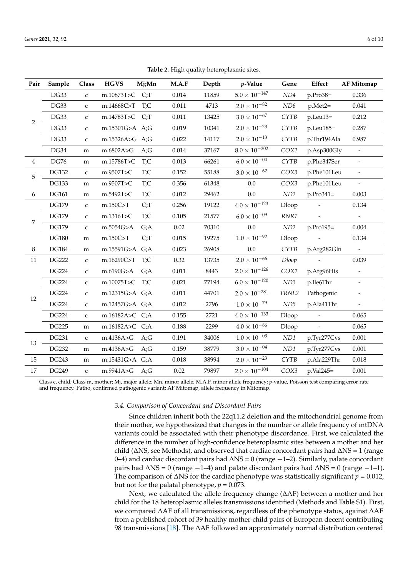<span id="page-5-0"></span>

| Pair           | Sample       | Class        | <b>HGVS</b>    | Mj;Mn                     | M.A.F | Depth | p-Value                | Gene                 | Effect         | <b>AF Mitomap</b>        |
|----------------|--------------|--------------|----------------|---------------------------|-------|-------|------------------------|----------------------|----------------|--------------------------|
| $\overline{2}$ | DG33         | $\mathsf{C}$ | m.10873T>C     | C <sub>i</sub>            | 0.014 | 11859 | $5.0 \times 10^{-147}$ | ND4                  | p.Pro38=       | 0.336                    |
|                | DG33         | $\mathsf C$  | m.14668C>T     | T;C                       | 0.011 | 4713  | $2.0 \times 10^{-82}$  | ND <sub>6</sub>      | $p.Met2=$      | 0.041                    |
|                | DG33         | $\mathsf{C}$ | m.14783T>C     | C <sub>i</sub>            | 0.011 | 13425 | $3.0 \times 10^{-67}$  | <b>CYTB</b>          | p.Leu13=       | 0.212                    |
|                | DG33         | C            | m.15301G>A A;G |                           | 0.019 | 10341 | $2.0\times10^{-23}$    | <b>CYTB</b>          | p.Leu185=      | 0.287                    |
|                | DG33         | $\mathsf{C}$ | m.15326A>G A;G |                           | 0.022 | 14117 | $2.0\times10^{-13}$    | <b>CYTB</b>          | p.Thr194Ala    | 0.987                    |
|                | DG34         | m            | m.6802A>G      | A;G                       | 0.014 | 37167 | $8.0\times10^{-302}$   | COX1                 | p.Asp300Gly    | $\equiv$                 |
| $\overline{4}$ | <b>DG76</b>  | m            | m.15786T>C     | $\mathrm{T} ; \mathrm{C}$ | 0.013 | 66261 | $6.0\times10^{-04}$    | <b>CYTB</b>          | p.Phe347Ser    | $\overline{\phantom{a}}$ |
| 5              | <b>DG132</b> | $\mathsf{C}$ | m.9507T>C      | T;C                       | 0.152 | 55188 | $3.0\times10^{-62}$    | COX3                 | p.Phe101Leu    | $\overline{\phantom{a}}$ |
|                | <b>DG133</b> | m            | m.9507T>C      | T;C                       | 0.356 | 61348 | 0.0                    | COX3                 | p.Phe101Leu    |                          |
| 6              | <b>DG161</b> | m            | m.5492T>C      | T;C                       | 0.012 | 29462 | 0.0                    | $\ensuremath{N\!D2}$ | $p.Pro341=$    | 0.003                    |
| 7              | DG179        | $\mathsf C$  | m.150C > T     | $Ci$ T                    | 0.256 | 19122 | $4.0\times10^{-123}$   | Dloop                |                | 0.134                    |
|                | <b>DG179</b> | C            | m.1316T>C      | T;C                       | 0.105 | 21577 | $6.0 \times 10^{-09}$  | RNR1                 | $\overline{a}$ | $\blacksquare$           |
|                | DG179        | $\mathsf C$  | m.5054G>A      | G;A                       | 0.02  | 70310 | 0.0                    | ND2                  | p.Pro195=      | 0.004                    |
|                | <b>DG180</b> | m            | m.150C > T     | $Ci$ T                    | 0.015 | 19275 | $1.0\times10^{-92}$    | Dloop                |                | 0.134                    |
| 8              | <b>DG184</b> | m            | m.15591G>A G;A |                           | 0.023 | 26908 | 0.0                    | <b>CYTB</b>          | p.Arg282Gln    | $\overline{\phantom{a}}$ |
| 11             | <b>DG222</b> | $\mathsf C$  | m.16290C>T     | T;C                       | 0.32  | 13735 | $2.0\times10^{-66}$    | Dloop                |                | 0.039                    |
| 12             | <b>DG224</b> | $\mathsf C$  | m.6190G>A      | G: A                      | 0.011 | 8443  | $2.0\times10^{-126}$   | COX1                 | p.Arg96His     | $\overline{\phantom{a}}$ |
|                | <b>DG224</b> | $\mathsf{C}$ | m.10075T>C     | T;C                       | 0.021 | 77194 | $6.0\times10^{-120}$   | ND3                  | p.Ile6Thr      |                          |
|                | <b>DG224</b> | $\mathsf C$  | m.12315G>A G;A |                           | 0.011 | 44701 | $2.0 \times 10^{-281}$ | TRNL2                | Pathogenic     |                          |
|                | <b>DG224</b> | $\mathsf{C}$ | m.12457G>A G;A |                           | 0.012 | 2796  | $1.0\times10^{-79}$    | ND5                  | p.Ala41Thr     | $\blacksquare$           |
|                | DG224        | $\mathsf{C}$ | m.16182A>C C;A |                           | 0.155 | 2721  | $4.0\times10^{-133}$   | Dloop                |                | 0.065                    |
|                | <b>DG225</b> | m            | m.16182A>C C;A |                           | 0.188 | 2299  | $4.0 \times 10^{-86}$  | Dloop                | $\overline{a}$ | 0.065                    |
| 13             | DG231        | $\mathsf C$  | m.4136A>G      | A;G                       | 0.191 | 34006 | $1.0\times10^{-03}$    | $\emph{ND1}$         | p.Tyr277Cys    | 0.001                    |
|                | <b>DG232</b> | m            | m.4136A>G      | A;G                       | 0.159 | 38779 | $3.0 \times 10^{-04}$  | $\emph{ND1}$         | p.Tyr277Cys    | 0.001                    |
| 15             | <b>DG243</b> | m            | m.15431G>A G;A |                           | 0.018 | 38994 | $2.0\times10^{-23}$    | <b>CYTB</b>          | p.Ala229Thr    | 0.018                    |
| 17             | DG249        | $\mathsf C$  | m.9941A>G      | A;G                       | 0.02  | 79897 | $2.0\times10^{-104}$   | COX3                 | p.Val245=      | 0.001                    |

**Table 2.** High quality heteroplasmic sites.

Class c, child; Class m, mother; Mj, major allele; Mn, minor allele; M.A.F, minor allele frequency; *p*-value, Poisson test comparing error rate and frequency. Patho, confirmed pathogenic variant; AF Mitomap, allele frequency in Mitomap.

#### *3.4. Comparison of Concordant and Discordant Pairs*

Since children inherit both the 22q11.2 deletion and the mitochondrial genome from their mother, we hypothesized that changes in the number or allele frequency of mtDNA variants could be associated with their phenotype discordance. First, we calculated the difference in the number of high-confidence heteroplasmic sites between a mother and her child (∆NS, see Methods), and observed that cardiac concordant pairs had ∆NS = 1 (range 0–4) and cardiac discordant pairs had ∆NS = 0 (range −1–2). Similarly, palate concordant pairs had  $ΔNS = 0$  (range  $-1-4$ ) and palate discordant pairs had  $ΔNS = 0$  (range  $-1-1$ ). The comparison of ∆NS for the cardiac phenotype was statistically significant *p* = 0.012, but not for the palatal phenotype,  $p = 0.073$ .

Next, we calculated the allele frequency change (ΔAF) between a mother and her child for the 18 heteroplasmic alleles transmissions identified (Methods and Table S1). First, we compared ∆AF of all transmissions, regardless of the phenotype status, against ∆AF from a published cohort of 39 healthy mother-child pairs of European decent contributing 98 transmissions [\[18\]](#page-8-22). The ΔAF followed an approximately normal distribution centered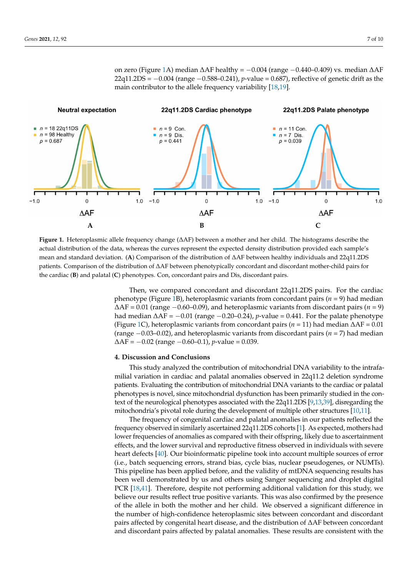**on zero (Figure [1A](#page-6-0)) median ∆AF healthy =**  $-0.004$  **(range**  $-0.440-0.409$ **) vs. median ∆AF** 22q11.2DS = −0.004 (range −0.588–0.241), *p*-value = 0.687), reflective of genetic drift as the main contributor to the allele frequency variability [\[18](#page-8-22)[,19\]](#page-8-17).

<span id="page-6-0"></span>

Figure 1. Heteroplasmic allele frequency change ( $\Delta AF$ ) between a mother and her child. The histograms describe the actual distribution of the data, whereas the curves represent the expected density distribution provided each sample's mean and standard deviation. (A) Comparison of the distribution of  $\triangle$ AF between healthy individuals and 22q11.2DS patients. Comparison of the distribution of  $\Lambda\Lambda$ F between phenotypically concordent and discordant mother-child pairs for patients. Comparison of the distribution of ∆AF between phenotypically concordant and discordant mother-child pairs for the cardiac (**B**) and palatal (**C**) phenotypes. Con, concordant pairs and Dis, discordant pairs.

Then, we compared concordant and discordant 22q11.2DS pairs. For the cardiac phenotype (Figure 1B), heteroplasmic variants from concordant pairs (*n* = 9) had median ∆AF = 0.01 (range −0.60–0.09), and heteroplasmic variants from discordant pairs (*n* = 9) had median ∆AF = −0.01 (range −0.20–0.24), *p*-value = 0.441. For the palate phenotype (Figure 1C), heteroplasmic variants from concordant pairs (*n* = 11) had median ∆AF = 0.01 (range −0.03–0.02), and heteroplasmic variants from discordant pairs (*n* = 7) had median ∆AF = −0.02 (range −0.60–0.1)*, p*-value = 0.039.

# tures [10,11]. The frequency of congenital cardiac and palatal anomalies in our patients reflected **4. Discussion and Conclusions**

This study analyzed the contribution of mitochondrial DNA variability to the intrafamilial variation in cardiac and palatal anomalies observed in 22q11.2 deletion syndrome patients. Evaluating the contribution of mitochondrial DNA variants to the cardiac or palatal phenotypes is novel, since mitochondrial dysfunction has been primarily studied in the con-text of the neurological phenotypes associated with the 22q11.2DS [\[9](#page-8-8)[,13](#page-8-12)[,39\]](#page-9-15), disregarding the mitochondria's pivotal role during the development of multiple other structures [\[10](#page-8-9)[,11\]](#page-8-10).

The frequency of congenital cardiac and palatal anomalies in our patients reflected the frequency observed in similarly ascertained 22q11.2DS cohorts [\[1\]](#page-8-0). As expected, mothers had lower frequencies of anomalies as compared with their offspring, likely due to ascertainment effects, and the lower survival and reproductive fitness observed in individuals with severe heart defects [\[40\]](#page-9-16). Our bioinformatic pipeline took into account multiple sources of error (i.e., batch sequencing errors, strand bias, cycle bias, nuclear pseudogenes, or NUMTs). This pipeline has been applied before, and the validity of mtDNA sequencing results has been well demonstrated by us and others using Sanger sequencing and droplet digital PCR [\[18,](#page-8-22)[41\]](#page-9-17). Therefore, despite not performing additional validation for this study, we believe our results reflect true positive variants. This was also confirmed by the presence of the allele in both the mother and her child. We observed a significant difference in the number of high-confidence heteroplasmic sites between concordant and discordant pairs affected by congenital heart disease, and the distribution of ∆AF between concordant and discordant pairs affected by palatal anomalies. These results are consistent with the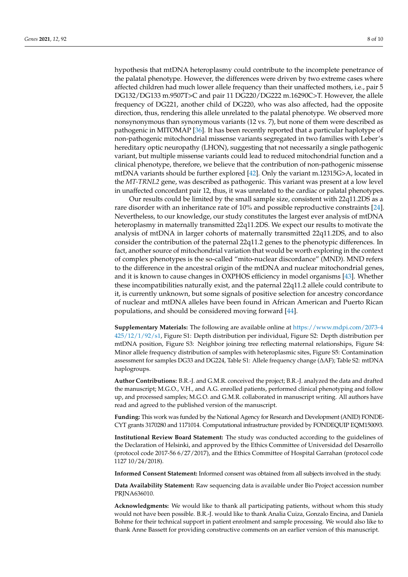hypothesis that mtDNA heteroplasmy could contribute to the incomplete penetrance of the palatal phenotype. However, the differences were driven by two extreme cases where affected children had much lower allele frequency than their unaffected mothers, i.e., pair 5 DG132/DG133 m.9507T>C and pair 11 DG220/DG222 m.16290C>T. However, the allele frequency of DG221, another child of DG220, who was also affected, had the opposite direction, thus, rendering this allele unrelated to the palatal phenotype. We observed more nonsynonymous than synonymous variants (12 vs. 7), but none of them were described as pathogenic in MITOMAP [\[36\]](#page-9-12). It has been recently reported that a particular haplotype of non-pathogenic mitochondrial missense variants segregated in two families with Leber's hereditary optic neuropathy (LHON), suggesting that not necessarily a single pathogenic variant, but multiple missense variants could lead to reduced mitochondrial function and a clinical phenotype, therefore, we believe that the contribution of non-pathogenic missense mtDNA variants should be further explored [\[42\]](#page-9-18). Only the variant m.12315G>A, located in the *MT-TRNL2* gene, was described as pathogenic. This variant was present at a low level in unaffected concordant pair 12, thus, it was unrelated to the cardiac or palatal phenotypes.

Our results could be limited by the small sample size, consistent with 22q11.2DS as a rare disorder with an inheritance rate of 10% and possible reproductive constraints [\[24\]](#page-9-0). Nevertheless, to our knowledge, our study constitutes the largest ever analysis of mtDNA heteroplasmy in maternally transmitted 22q11.2DS. We expect our results to motivate the analysis of mtDNA in larger cohorts of maternally transmitted 22q11.2DS, and to also consider the contribution of the paternal 22q11.2 genes to the phenotypic differences. In fact, another source of mitochondrial variation that would be worth exploring in the context of complex phenotypes is the so-called "mito-nuclear discordance" (MND). MND refers to the difference in the ancestral origin of the mtDNA and nuclear mitochondrial genes, and it is known to cause changes in OXPHOS efficiency in model organisms [\[43\]](#page-9-19). Whether these incompatibilities naturally exist, and the paternal 22q11.2 allele could contribute to it, is currently unknown, but some signals of positive selection for ancestry concordance of nuclear and mtDNA alleles have been found in African American and Puerto Rican populations, and should be considered moving forward [\[44\]](#page-9-20).

**Supplementary Materials:** The following are available online at [https://www.mdpi.com/2073-4](https://www.mdpi.com/2073-4425/12/1/92/s1) [425/12/1/92/s1,](https://www.mdpi.com/2073-4425/12/1/92/s1) Figure S1: Depth distribution per individual, Figure S2: Depth distribution per mtDNA position, Figure S3: Neighbor joining tree reflecting maternal relationships, Figure S4: Minor allele frequency distribution of samples with heteroplasmic sites, Figure S5: Contamination assessment for samples DG33 and DG224, Table S1: Allele frequency change (∆AF); Table S2: mtDNA haplogroups.

**Author Contributions:** B.R.-J. and G.M.R. conceived the project; B.R.-J. analyzed the data and drafted the manuscript; M.G.O., V.H., and A.G. enrolled patients, performed clinical phenotyping and follow up, and processed samples; M.G.O. and G.M.R. collaborated in manuscript writing. All authors have read and agreed to the published version of the manuscript.

**Funding:** This work was funded by the National Agency for Research and Development (ANID) FONDE-CYT grants 3170280 and 1171014. Computational infrastructure provided by FONDEQUIP EQM150093.

**Institutional Review Board Statement:** The study was conducted according to the guidelines of the Declaration of Helsinki, and approved by the Ethics Committee of Universidad del Desarrollo (protocol code 2017-56 6/27/2017), and the Ethics Committee of Hospital Garrahan (protocol code 1127 10/24/2018).

**Informed Consent Statement:** Informed consent was obtained from all subjects involved in the study.

**Data Availability Statement:** Raw sequencing data is available under Bio Project accession number PRJNA636010.

**Acknowledgments:** We would like to thank all participating patients, without whom this study would not have been possible. B.R.-J. would like to thank Analia Cuiza, Gonzalo Encina, and Daniela Bohme for their technical support in patient enrolment and sample processing. We would also like to thank Anne Bassett for providing constructive comments on an earlier version of this manuscript.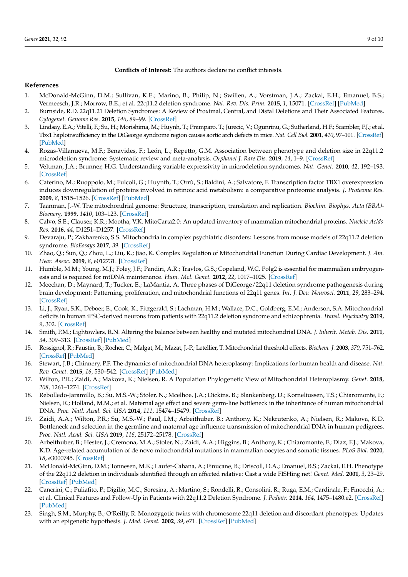**Conflicts of Interest:** The authors declare no conflict interests.

#### **References**

- <span id="page-8-0"></span>1. McDonald-McGinn, D.M.; Sullivan, K.E.; Marino, B.; Philip, N.; Swillen, A.; Vorstman, J.A.; Zackai, E.H.; Emanuel, B.S.; Vermeesch, J.R.; Morrow, B.E.; et al. 22q11.2 deletion syndrome. *Nat. Rev. Dis. Prim.* **2015**, *1*, 15071. [\[CrossRef\]](http://doi.org/10.1038/nrdp.2015.71) [\[PubMed\]](http://www.ncbi.nlm.nih.gov/pubmed/27189754)
- <span id="page-8-1"></span>2. Burnside, R.D. 22q11.21 Deletion Syndromes: A Review of Proximal, Central, and Distal Deletions and Their Associated Features. *Cytogenet. Genome Res.* **2015**, *146*, 89–99. [\[CrossRef\]](http://doi.org/10.1159/000438708)
- <span id="page-8-2"></span>3. Lindsay, E.A.; Vitelli, F.; Su, H.; Morishima, M.; Huynh, T.; Pramparo, T.; Jurecic, V.; Ogunrinu, G.; Sutherland, H.F.; Scambler, P.J.; et al. Tbx1 haploinsufficiency in the DiGeorge syndrome region causes aortic arch defects in mice. *Nat. Cell Biol.* **2001**, *410*, 97–101. [\[CrossRef\]](http://doi.org/10.1038/35065105) [\[PubMed\]](http://www.ncbi.nlm.nih.gov/pubmed/11242049)
- <span id="page-8-3"></span>4. Rozas-Villanueva, M.F.; Benavides, F.; León, L.; Repetto, G.M. Association between phenotype and deletion size in 22q11.2 microdeletion syndrome: Systematic review and meta-analysis. *Orphanet J. Rare Dis.* **2019**, *14*, 1–9. [\[CrossRef\]](http://doi.org/10.1186/s13023-019-1170-x)
- <span id="page-8-4"></span>5. Veltman, J.A.; Brunner, H.G. Understanding variable expressivity in microdeletion syndromes. *Nat. Genet.* **2010**, *42*, 192–193. [\[CrossRef\]](http://doi.org/10.1038/ng0310-192)
- <span id="page-8-5"></span>6. Caterino, M.; Ruoppolo, M.; Fulcoli, G.; Huynth, T.; Orrù, S.; Baldini, A.; Salvatore, F. Transcription factor TBX1 overexpression induces downregulation of proteins involved in retinoic acid metabolism: a comparative proteomic analysis. *J. Proteome Res.* **2009**, *8*, 1515–1526. [\[CrossRef\]](http://doi.org/10.1182/blood-2004-01-0046) [\[PubMed\]](http://www.ncbi.nlm.nih.gov/pubmed/15142884)
- <span id="page-8-6"></span>7. Taanman, J.-W. The mitochondrial genome: Structure, transcription, translation and replication. *Biochim. Biophys. Acta (BBA)- Bioenerg.* **1999**, *1410*, 103–123. [\[CrossRef\]](http://doi.org/10.1016/S0005-2728(98)00161-3)
- <span id="page-8-7"></span>8. Calvo, S.E.; Clauser, K.R.; Mootha, V.K. MitoCarta2.0: An updated inventory of mammalian mitochondrial proteins. *Nucleic Acids Res.* **2016**, *44*, D1251–D1257. [\[CrossRef\]](http://doi.org/10.1093/nar/gkv1003)
- <span id="page-8-8"></span>9. Devaraju, P.; Zakharenko, S.S. Mitochondria in complex psychiatric disorders: Lessons from mouse models of 22q11.2 deletion syndrome. *BioEssays* **2017**, *39*. [\[CrossRef\]](http://doi.org/10.1002/bies.201600177)
- <span id="page-8-9"></span>10. Zhao, Q.; Sun, Q.; Zhou, L.; Liu, K.; Jiao, K. Complex Regulation of Mitochondrial Function During Cardiac Development. *J. Am. Hear. Assoc.* **2019**, *8*, e012731. [\[CrossRef\]](http://doi.org/10.1161/JAHA.119.012731)
- <span id="page-8-10"></span>11. Humble, M.M.; Young, M.J.; Foley, J.F.; Pandiri, A.R.; Travlos, G.S.; Copeland, W.C. Polg2 is essential for mammalian embryogenesis and is required for mtDNA maintenance. *Hum. Mol. Genet.* **2012**, *22*, 1017–1025. [\[CrossRef\]](http://doi.org/10.1093/hmg/dds506)
- <span id="page-8-11"></span>12. Meechan, D.; Maynard, T.; Tucker, E.; LaMantia, A. Three phases of DiGeorge/22q11 deletion syndrome pathogenesis during brain development: Patterning, proliferation, and mitochondrial functions of 22q11 genes. *Int. J. Dev. Neurosci.* **2011**, *29*, 283–294. [\[CrossRef\]](http://doi.org/10.1016/j.ijdevneu.2010.08.005)
- <span id="page-8-12"></span>13. Li, J.; Ryan, S.K.; Deboer, E.; Cook, K.; Fitzgerald, S.; Lachman, H.M.; Wallace, D.C.; Goldberg, E.M.; Anderson, S.A. Mitochondrial deficits in human iPSC-derived neurons from patients with 22q11.2 deletion syndrome and schizophrenia. *Transl. Psychiatry* **2019**, *9*, 302. [\[CrossRef\]](http://doi.org/10.1038/s41398-019-0643-y)
- <span id="page-8-13"></span>14. Smith, P.M.; Lightowlers, R.N. Altering the balance between healthy and mutated mitochondrial DNA. *J. Inherit. Metab. Dis.* **2011**, *34*, 309–313. [\[CrossRef\]](http://doi.org/10.1007/s10545-010-9122-6) [\[PubMed\]](http://www.ncbi.nlm.nih.gov/pubmed/20506041)
- <span id="page-8-14"></span>15. Rossignol, R.; Faustin, B.; Rocher, C.; Malgat, M.; Mazat, J.-P.; Letellier, T. Mitochondrial threshold effects. *Biochem. J.* **2003**, *370*, 751–762. [\[CrossRef\]](http://doi.org/10.1042/bj20021594) [\[PubMed\]](http://www.ncbi.nlm.nih.gov/pubmed/12467494)
- <span id="page-8-15"></span>16. Stewart, J.B.; Chinnery, P.F. The dynamics of mitochondrial DNA heteroplasmy: Implications for human health and disease. *Nat. Rev. Genet.* **2015**, *16*, 530–542. [\[CrossRef\]](http://doi.org/10.1038/nrg3966) [\[PubMed\]](http://www.ncbi.nlm.nih.gov/pubmed/26281784)
- <span id="page-8-16"></span>17. Wilton, P.R.; Zaidi, A.; Makova, K.; Nielsen, R. A Population Phylogenetic View of Mitochondrial Heteroplasmy. *Genet.* **2018**, *208*, 1261–1274. [\[CrossRef\]](http://doi.org/10.1534/genetics.118.300711)
- <span id="page-8-22"></span>18. Rebolledo-Jaramillo, B.; Su, M.S.-W.; Stoler, N.; Mcelhoe, J.A.; Dickins, B.; Blankenberg, D.; Korneliussen, T.S.; Chiaromonte, F.; Nielsen, R.; Holland, M.M.; et al. Maternal age effect and severe germ-line bottleneck in the inheritance of human mitochondrial DNA. *Proc. Natl. Acad. Sci. USA* **2014**, *111*, 15474–15479. [\[CrossRef\]](http://doi.org/10.1073/pnas.1409328111)
- <span id="page-8-17"></span>19. Zaidi, A.A.; Wilton, P.R.; Su, M.S.-W.; Paul, I.M.; Arbeithuber, B.; Anthony, K.; Nekrutenko, A.; Nielsen, R.; Makova, K.D. Bottleneck and selection in the germline and maternal age influence transmission of mitochondrial DNA in human pedigrees. *Proc. Natl. Acad. Sci. USA* **2019**, *116*, 25172–25178. [\[CrossRef\]](http://doi.org/10.1073/pnas.1906331116)
- <span id="page-8-18"></span>20. Arbeithuber, B.; Hester, J.; Cremona, M.A.; Stoler, N.; Zaidi, A.A.; Higgins, B.; Anthony, K.; Chiaromonte, F.; Diaz, F.J.; Makova, K.D. Age-related accumulation of de novo mitochondrial mutations in mammalian oocytes and somatic tissues. *PLoS Biol.* **2020**, *18*, e3000745. [\[CrossRef\]](http://doi.org/10.1371/journal.pbio.3000745)
- <span id="page-8-19"></span>21. McDonald-McGinn, D.M.; Tonnesen, M.K.; Laufer-Cahana, A.; Finucane, B.; Driscoll, D.A.; Emanuel, B.S.; Zackai, E.H. Phenotype of the 22q11.2 deletion in individuals identified through an affected relative: Cast a wide FISHing net! *Genet. Med.* **2001**, *3*, 23–29. [\[CrossRef\]](http://doi.org/10.1097/00125817-200101000-00006) [\[PubMed\]](http://www.ncbi.nlm.nih.gov/pubmed/11339373)
- <span id="page-8-20"></span>22. Cancrini, C.; Puliafito, P.; Digilio, M.C.; Soresina, A.; Martino, S.; Rondelli, R.; Consolini, R.; Ruga, E.M.; Cardinale, F.; Finocchi, A.; et al. Clinical Features and Follow-Up in Patients with 22q11.2 Deletion Syndrome. *J. Pediatr.* **2014**, *164*, 1475–1480.e2. [\[CrossRef\]](http://doi.org/10.1016/j.jpeds.2014.01.056) [\[PubMed\]](http://www.ncbi.nlm.nih.gov/pubmed/24657119)
- <span id="page-8-21"></span>23. Singh, S.M.; Murphy, B.; O'Reilly, R. Monozygotic twins with chromosome 22q11 deletion and discordant phenotypes: Updates with an epigenetic hypothesis. *J. Med. Genet.* **2002**, *39*, e71. [\[CrossRef\]](http://doi.org/10.1136/jmg.39.11.e71) [\[PubMed\]](http://www.ncbi.nlm.nih.gov/pubmed/12414833)